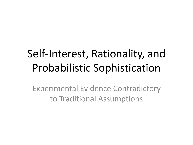# Self-Interest, Rationality, and Probabilistic Sophistication

Experimental Evidence Contradictory to Traditional Assumptions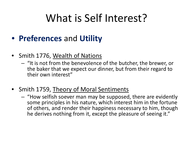## What is Self Interest?

#### • **Preferences** and **Utility**

- Smith 1776, Wealth of Nations
	- "It is not from the benevolence of the butcher, the brewer, or the baker that we expect our dinner, but from their regard to their own interest"
- Smith 1759, Theory of Moral Sentiments
	- "How selfish soever man may be supposed, there are evidently some principles in his nature, which interest him in the fortune of others, and render their happiness necessary to him, though he derives nothing from it, except the pleasure of seeing it."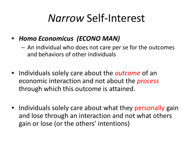### *Narrow* Self-Interest

- *Homo Economicus (ECONO MAN)*
	- An individual who does not care per se for the outcomes and behaviors of other individuals
- Individuals solely care about the *outcome* of an economic interaction and not about the *process* through which this outcome is attained.
- Individuals solely care about what they personally gain and lose through an interaction and not what others gain or lose (or the others' intentions)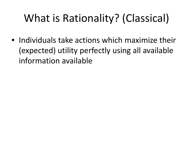# What is Rationality? (Classical)

• Individuals take actions which maximize their (expected) utility perfectly using all available information available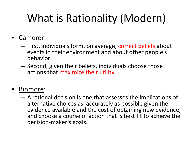# What is Rationality (Modern)

#### Camerer:

- First, individuals form, on average, correct beliefs about events in their environment and about other people's behavior
- Second, given their beliefs, individuals choose those actions that maximize their utility.

#### • Binmore:

– A rational decision is one that assesses the implications of alternative choices as accurately as possible given the evidence available and the cost of obtaining new evidence, and choose a course of action that is best fit to achieve the decision-maker's goals."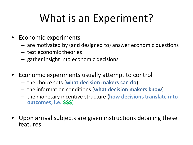## What is an Experiment?

- Economic experiments
	- are motivated by (and designed to) answer economic questions
	- test economic theories
	- gather insight into economic decisions
- Economic experiments usually attempt to control
	- the choice sets (**what decision makers can do**)
	- the information conditions (**what decision makers know**)
	- the monetary incentive structure (**how decisions translate into outcomes, i.e. \$\$\$**)
- Upon arrival subjects are given instructions detailing these features.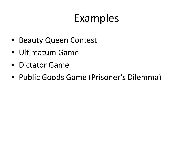### Examples

- Beauty Queen Contest
- Ultimatum Game
- Dictator Game
- Public Goods Game (Prisoner's Dilemma)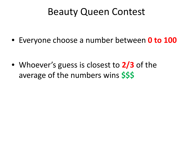#### Beauty Queen Contest

• Everyone choose a number between **0 to 100**

• Whoever's guess is closest to **2/3** of the average of the numbers wins **\$\$\$**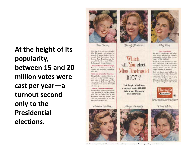#### **At the height of its popularity, between 15 and 20 million votes were cast per year—a turnout second only to the Presidential elections.**



Tami Corner

Meet the six loyely candidates for Miss Rheingold 1957, electro by a patel of famous Judges that inchided Bab Committee, Irene Barne, Joan Fostains, Ida Lopins, Ed Sollivan and William Porflees and George Seriou.

Now you became the final judge Your robe-and the votes of your friends-will help deet Miss Riscinandel 1857.

Food and farture for the winner. The girl who what the title what acontract worth S20,000, represepaid trips to Hollywood and Eurease, play all the few and fares of started in part year's Blaing 41 advertising.

Time to fill them hadn't bears. boo can help your houseits candidata. Just look for the Miss Illain. gaile Election Ballot Box at any Electropold steen on taxers. And cast year vote-today at any day. through September 46.

Statilian Wallace





Bevols Christmeer

Which will You elect Miss Rheingold 1957?

> Pick the girl who'll win a contract weeth \$50,000! Victo at any Rheingald store or tevern!

> > Maga McNeely

Shoy Filed **Every yote severe** All ballets are checked and tabalated by an independent research organization that cortifies the secanner of the final tally.

So join in Me Fox of character a new Miss Bleingsld-cast your ballet slong with the millions of prople who've made this the secondlargest election in America.

And join those sanse millions in enjecting the beer Mint Elbewordd represents. It's always beer as beer. about taste. And your approval of Hisringshil Extra Dry has made it. the Largest sailing here in the Right



Master Brenners Ave searchban 116 seems





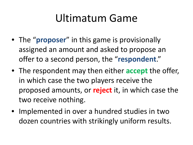## Ultimatum Game

- The "**proposer**" in this game is provisionally assigned an amount and asked to propose an offer to a second person, the "**respondent**."
- The respondent may then either **accept** the offer, in which case the two players receive the proposed amounts, or **reject** it, in which case the two receive nothing.
- Implemented in over a hundred studies in two dozen countries with strikingly uniform results.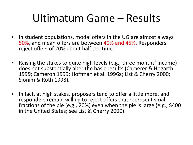## Ultimatum Game – Results

- In student populations, modal offers in the UG are almost always 50%, and mean offers are between 40% and 45%. Responders reject offers of 20% about half the time.
- Raising the stakes to quite high levels (e.g., three months' income) does not substantially alter the basic results (Camerer & Hogarth 1999; Cameron 1999; Hoffman et al. 1996a; List & Cherry 2000; Slonim & Roth 1998).
- In fact, at high stakes, proposers tend to offer a little more, and responders remain willing to reject offers that represent small fractions of the pie (e.g., 20%) even when the pie is large (e.g., \$400 in the United States; see List & Cherry 2000).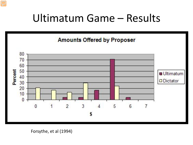### Ultimatum Game – Results

**Amounts Offered by Proposer** 

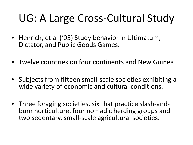# UG: A Large Cross-Cultural Study

- Henrich, et al ('05) Study behavior in Ultimatum, Dictator, and Public Goods Games.
- Twelve countries on four continents and New Guinea
- Subjects from fifteen small-scale societies exhibiting a wide variety of economic and cultural conditions.
- Three foraging societies, six that practice slash-and- burn horticulture, four nomadic herding groups and two sedentary, small-scale agricultural societies.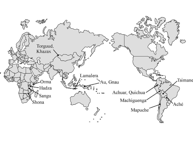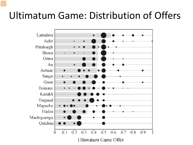#### Ultimatum Game: Distribution of Offers

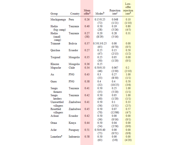|                       |                |                    |                    |                   | Low-<br>offer     |
|-----------------------|----------------|--------------------|--------------------|-------------------|-------------------|
|                       |                | Mean               |                    | Rejection         | rejection         |
| Group                 | Country        | offer <sup>a</sup> | Modes <sup>b</sup> | rate <sup>c</sup> | rate <sup>d</sup> |
| Machiguenga           | Peru           | 0.26               | 0.15/0.25          | 0.048             | 0.10              |
|                       |                |                    | (72)               | (1/21)            | (1/10)            |
| Hadza                 | Tanzania       | 0.40               | 0.50               | 0.19              | 0.80              |
| (big camp)            |                |                    | (28)               | (5/26)            | (4/5)             |
| Hadza                 | Tanzania       | 0.27               | 0.20               | 0.28              | 0.31              |
| (small<br>camp)       |                | (38)               | (8/29)             | (5/16)            |                   |
| Tsimané               | <b>Bolivia</b> | 0.37               | 0.5/0.3/0.25       | 0.00              | 0.00              |
|                       |                |                    | (65)               | (0/70)            | (0/5)             |
| Quichua               | Ecuador        | 0.27               | 0.25               | 0.15              | 0.50              |
|                       |                |                    | (47)               | (2/13)            | (1/2)             |
| Torguud               | Mongolia       | 0.35               | 0.25               | 0.05              | 0.00              |
|                       |                |                    | (30)               | (1/20)            | (0/1)             |
| Khazax                | Mongolia       | 0.36               | 0.25               |                   |                   |
| Mapuche               | Chile          | 0.34               | 0.50/0.33          | 0.067             | 0.2               |
|                       |                |                    | (46)               | (2/30)            | (2/10)            |
| Au                    | PNG            | 0.43               | 0.3                | 0.27              | 1.00              |
|                       |                |                    | (33)               | (8/30)            | (1/1)             |
| Gnau                  | PNG            | 0.38               | 0.4                | 0.4               | 0.50              |
|                       |                |                    | (32)               | (10/25)           | (3/6)             |
| Sangu                 | Tanzania       | 0.41               | 0.50               | 0.25              | 1.00              |
| farmers               |                |                    | (35)               | (5/20)            | (1/1)             |
| Sangu                 | Tanzania       | 0.42               | 0.50               | 0.05              | 1.00              |
| herders               |                |                    | (40)               | (1/20)            | (1/1)             |
| Unresettled           | Zimbabwe       | 0.41               | 0.50               | 0.1               | 0.33              |
| villagers             |                |                    | (56)               | (3/31)            | (2/5)             |
| Resettled             | Zimbabwe       | 0.45               | 0.50               | 0.07              | 0.57              |
| villagers             |                |                    | (70)               | (12/86)           | (4/7)             |
| Achuar                | Ecuador        | 0.42               | 0.50               | 0.00              | 0.00              |
|                       |                |                    | (36)               | (0/16)            | (0/1)             |
| Orma                  | Kenya          | 0.44               | 0.50               | 0.04              | 0.00              |
|                       |                |                    | (54)               | (2/56)            | (0/0)             |
| Aché                  | Paraguay       | 0.51               | 0.50/0.40          | 0.00              | 0.00              |
|                       |                |                    | (75)               | (0/51)            | (0/8)             |
| Lamelara <sup>e</sup> | Indonesia      | 0.58               | 0.50               | 0.00              | 0.00              |
|                       |                |                    | (63)               | (3/8)             | (4/20)            |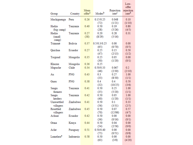|                       |                | Mean               |                    | Rejection         | Low-<br>offer<br>rejection |
|-----------------------|----------------|--------------------|--------------------|-------------------|----------------------------|
| Group                 | Country        | offer <sup>a</sup> | Modes <sup>b</sup> | rate <sup>c</sup> | rate <sup>d</sup>          |
| Machiguenga           | Peru           | 0.26               | 0.15/0.25          | 0.048             | 0.10                       |
|                       |                |                    | (72)               | (1/21)            | (1/10)                     |
| Hadza                 | Tanzania       | 0.40               | 0.50               | 0.19              | 0.80                       |
| (big camp)            |                |                    | (28)               | (5/26)            | (4/5)                      |
| Hadza                 | Tanzania       | 0.27               | 0.20               | 0.28              | 0.31                       |
| (small<br>camp)       |                | (38)               | (8/29)             | (5/16)            |                            |
| Tsimané               | <b>Bolivia</b> | 0.37               | 0.5/0.3/0.25       | 0.00              | 0.00                       |
|                       |                |                    | (65)               | (0/70)            | (0/5)                      |
| Quichua               | Ecuador        | 0.27               | 0.25               | 0.15              | 0.50                       |
|                       |                |                    | (47)               | (2/13)            | (1/2)                      |
| Torguud               | Mongolia       | 0.35               | 0.25               | 0.05              | 0.00                       |
|                       |                |                    | (30)               | (1/20)            | (0/1)                      |
| Khazax                | Mongolia       | 0.36               | 0.25               |                   |                            |
| Mapuche               | Chile          | 0.34               | 0.50/0.33          | 0.067             | 0.2                        |
|                       |                |                    | (46)               | (2/30)            | (2/10)                     |
| Au                    | PNG            | 0.43               | 0.3                | 0.27              | 1.00                       |
|                       | <b>PNG</b>     | 0.38               | (33)<br>0.4        | (8/30)<br>0.4     | (1/1)<br>0.50              |
| Gnau                  |                |                    | (32)               | (10/25)           | (3/6)                      |
| Sangu                 | Tanzania       | 0.41               | 0.50               | 0.25              | 1.00                       |
| farmers               |                |                    | (35)               | (5/20)            | (1/1)                      |
| Sangu                 | Tanzania       | 0.42               | 0.50               | 0.05              | 1.00                       |
| herders               |                |                    | (40)               | (1/20)            | (1/1)                      |
| Unresettled           | Zimbabwe       | 0.41               | 0.50               | 0.1               | 0.33                       |
| villagers             |                |                    | (56)               | (3/31)            | (2/5)                      |
| Resettled             | Zimbabwe       | 0.45               | 0.50               | 0.07              | 0.57                       |
| villagers             |                |                    | (70)               | (12/86)           | (4/7)                      |
| Achuar                | Ecuador        | 0.42               | 0.50               | 0.00              | 0.00                       |
|                       |                |                    | (36)               | (0/16)            | (0/1)                      |
| Orma                  | Kenya          | 0.44               | 0.50               | 0.04              | 0.00                       |
|                       |                |                    | (54)               | (2/56)            | (0/0)                      |
| Aché                  | Paraguay       | 0.51               | 0.50/0.40          | 0.00              | 0.00                       |
|                       |                |                    | (75)               | (0/51)            | (0/8)                      |
| Lamelara <sup>e</sup> | Indonesia      | 0.58               | 0.50               | 0.00              | 0.00                       |
|                       |                |                    | (63)               | (3/8)             | (4/20)                     |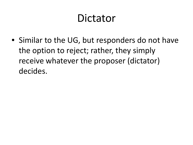### Dictator

• Similar to the UG, but responders do not have the option to reject; rather, they simply receive whatever the proposer (dictator) decides.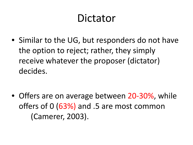### Dictator

• Similar to the UG, but responders do not have the option to reject; rather, they simply receive whatever the proposer (dictator) decides.

• Offers are on average between 20-30%, while offers of 0 (63%) and .5 are most common (Camerer, 2003).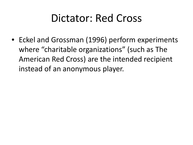### Dictator: Red Cross

• Eckel and Grossman (1996) perform experiments where "charitable organizations" (such as The American Red Cross) are the intended recipient instead of an anonymous player.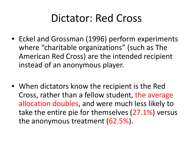### Dictator: Red Cross

- Eckel and Grossman (1996) perform experiments where "charitable organizations" (such as The American Red Cross) are the intended recipient instead of an anonymous player.
- When dictators know the recipient is the Red Cross, rather than a fellow student, the average allocation doubles, and were much less likely to take the entire pie for themselves (27.1%) versus the anonymous treatment (62.5%).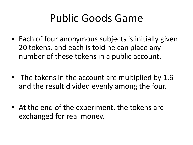## Public Goods Game

- Each of four anonymous subjects is initially given 20 tokens, and each is told he can place any number of these tokens in a public account.
- The tokens in the account are multiplied by 1.6 and the result divided evenly among the four.
- At the end of the experiment, the tokens are exchanged for real money.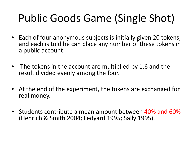# Public Goods Game (Single Shot)

- Each of four anonymous subjects is initially given 20 tokens, and each is told he can place any number of these tokens in a public account.
- The tokens in the account are multiplied by 1.6 and the result divided evenly among the four.
- At the end of the experiment, the tokens are exchanged for real money.
- Students contribute a mean amount between 40% and 60% (Henrich & Smith 2004; Ledyard 1995; Sally 1995).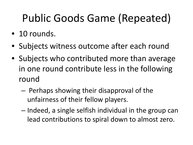# Public Goods Game (Repeated)

- 10 rounds.
- Subjects witness outcome after each round
- Subjects who contributed more than average in one round contribute less in the following round
	- Perhaps showing their disapproval of the unfairness of their fellow players.
	- Indeed, a single selfish individual in the group can lead contributions to spiral down to almost zero.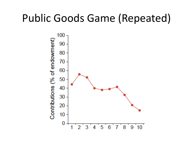#### Public Goods Game (Repeated)

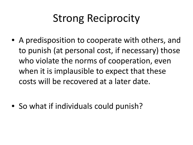## Strong Reciprocity

• A predisposition to cooperate with others, and to punish (at personal cost, if necessary) those who violate the norms of cooperation, even when it is implausible to expect that these costs will be recovered at a later date.

• So what if individuals could punish?